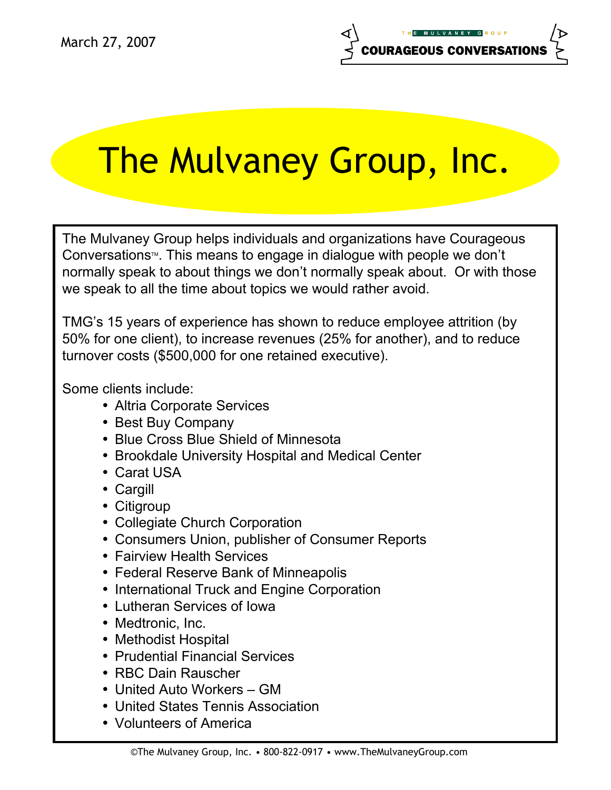# The Mulvaney Group, Inc.

The Mulvaney Group helps individuals and organizations have Courageous Conversations $M$ . This means to engage in dialogue with people we don't normally speak to about things we don't normally speak about. Or with those we speak to all the time about topics we would rather avoid.

TMG's 15 years of experience has shown to reduce employee attrition (by 50% for one client), to increase revenues (25% for another), and to reduce turnover costs (\$500,000 for one retained executive).

Some clients include:

- Altria Corporate Services
- Best Buy Company
- Blue Cross Blue Shield of Minnesota
- Brookdale University Hospital and Medical Center
- Carat USA
- Cargill
- Citigroup
- Collegiate Church Corporation
- Consumers Union, publisher of Consumer Reports
- Fairview Health Services
- Federal Reserve Bank of Minneapolis
- International Truck and Engine Corporation
- Lutheran Services of Iowa
- Medtronic, Inc.
- Methodist Hospital
- Prudential Financial Services
- RBC Dain Rauscher
- United Auto Workers GM
- United States Tennis Association
- Volunteers of America